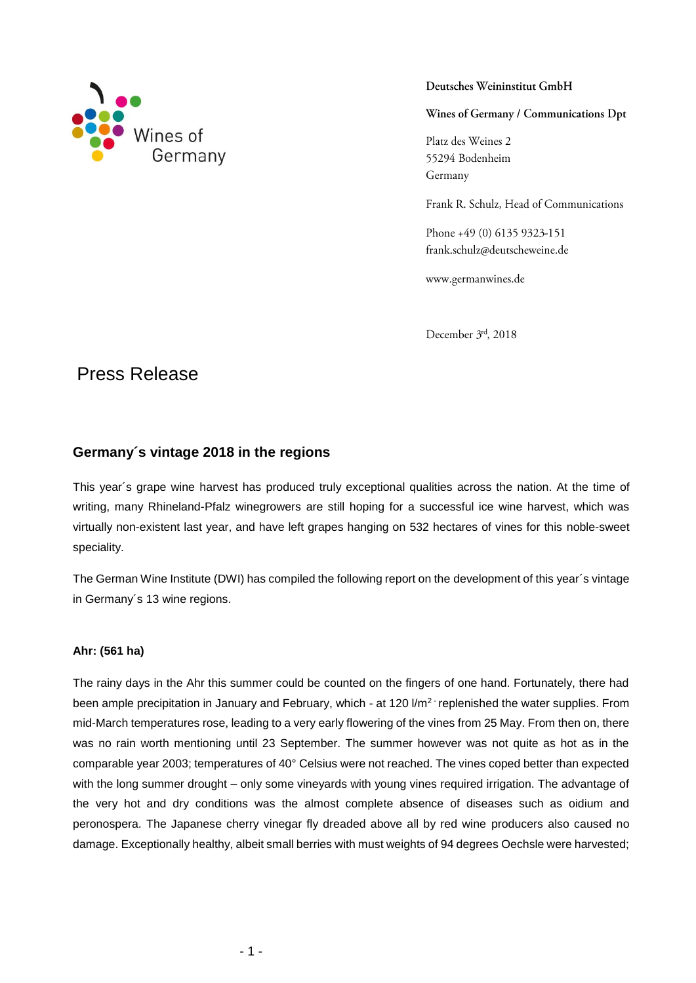

Deutsches Weininstitut GmbH

Wines of Germany / Communications Dpt

Platz des Weines 2 55294 Bodenheim Germany

Frank R. Schulz, Head of Communications

Phone +49 (0) 6135 9323-151 frank.schulz@deutscheweine.de

www.germanwines.de

December 3rd, 2018

# Press Release

# **Germany´s vintage 2018 in the regions**

This year´s grape wine harvest has produced truly exceptional qualities across the nation. At the time of writing, many Rhineland-Pfalz winegrowers are still hoping for a successful ice wine harvest, which was virtually non-existent last year, and have left grapes hanging on 532 hectares of vines for this noble-sweet speciality.

The German Wine Institute (DWI) has compiled the following report on the development of this year´s vintage in Germany´s 13 wine regions.

# **Ahr: (561 ha)**

The rainy days in the Ahr this summer could be counted on the fingers of one hand. Fortunately, there had been ample precipitation in January and February, which - at 120 l/m<sup>2 -</sup> replenished the water supplies. From mid-March temperatures rose, leading to a very early flowering of the vines from 25 May. From then on, there was no rain worth mentioning until 23 September. The summer however was not quite as hot as in the comparable year 2003; temperatures of 40° Celsius were not reached. The vines coped better than expected with the long summer drought – only some vineyards with young vines required irrigation. The advantage of the very hot and dry conditions was the almost complete absence of diseases such as oidium and peronospera. The Japanese cherry vinegar fly dreaded above all by red wine producers also caused no damage. Exceptionally healthy, albeit small berries with must weights of 94 degrees Oechsle were harvested;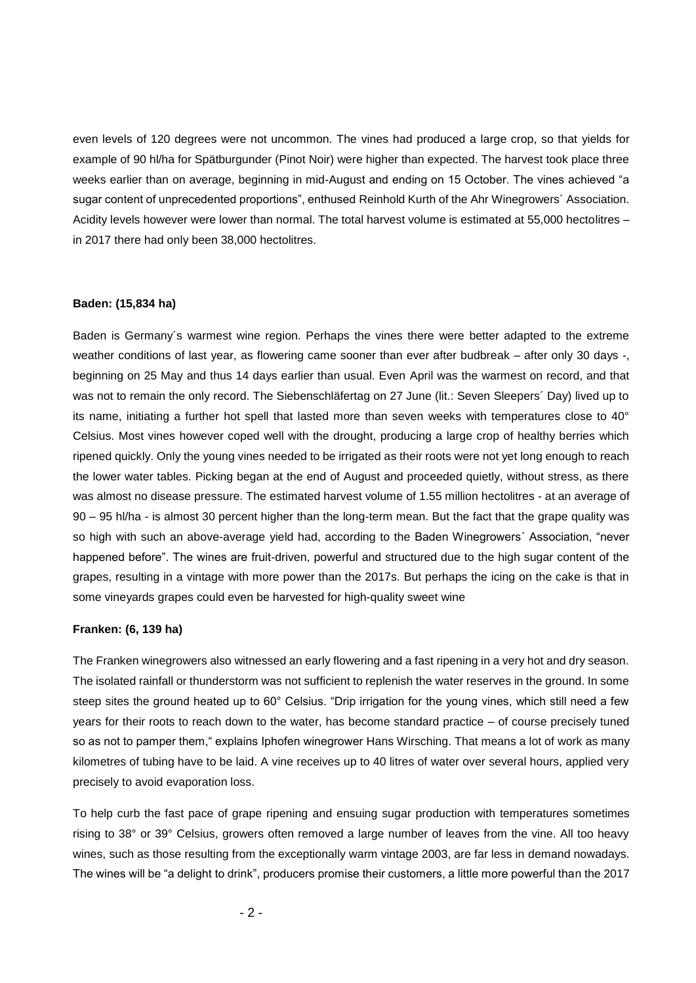even levels of 120 degrees were not uncommon. The vines had produced a large crop, so that yields for example of 90 hl/ha for Spätburgunder (Pinot Noir) were higher than expected. The harvest took place three weeks earlier than on average, beginning in mid-August and ending on 15 October. The vines achieved "a sugar content of unprecedented proportions", enthused Reinhold Kurth of the Ahr Winegrowers´ Association. Acidity levels however were lower than normal. The total harvest volume is estimated at 55,000 hectolitres – in 2017 there had only been 38,000 hectolitres.

## **Baden: (15,834 ha)**

Baden is Germany´s warmest wine region. Perhaps the vines there were better adapted to the extreme weather conditions of last year, as flowering came sooner than ever after budbreak – after only 30 days -, beginning on 25 May and thus 14 days earlier than usual. Even April was the warmest on record, and that was not to remain the only record. The Siebenschläfertag on 27 June (lit.: Seven Sleepers´ Day) lived up to its name, initiating a further hot spell that lasted more than seven weeks with temperatures close to 40° Celsius. Most vines however coped well with the drought, producing a large crop of healthy berries which ripened quickly. Only the young vines needed to be irrigated as their roots were not yet long enough to reach the lower water tables. Picking began at the end of August and proceeded quietly, without stress, as there was almost no disease pressure. The estimated harvest volume of 1.55 million hectolitres - at an average of 90 – 95 hl/ha - is almost 30 percent higher than the long-term mean. But the fact that the grape quality was so high with such an above-average yield had, according to the Baden Winegrowers´ Association, "never happened before". The wines are fruit-driven, powerful and structured due to the high sugar content of the grapes, resulting in a vintage with more power than the 2017s. But perhaps the icing on the cake is that in some vineyards grapes could even be harvested for high-quality sweet wine

#### **Franken: (6, 139 ha)**

The Franken winegrowers also witnessed an early flowering and a fast ripening in a very hot and dry season. The isolated rainfall or thunderstorm was not sufficient to replenish the water reserves in the ground. In some steep sites the ground heated up to 60° Celsius. "Drip irrigation for the young vines, which still need a few years for their roots to reach down to the water, has become standard practice – of course precisely tuned so as not to pamper them," explains Iphofen winegrower Hans Wirsching. That means a lot of work as many kilometres of tubing have to be laid. A vine receives up to 40 litres of water over several hours, applied very precisely to avoid evaporation loss.

To help curb the fast pace of grape ripening and ensuing sugar production with temperatures sometimes rising to 38° or 39° Celsius, growers often removed a large number of leaves from the vine. All too heavy wines, such as those resulting from the exceptionally warm vintage 2003, are far less in demand nowadays. The wines will be "a delight to drink", producers promise their customers, a little more powerful than the 2017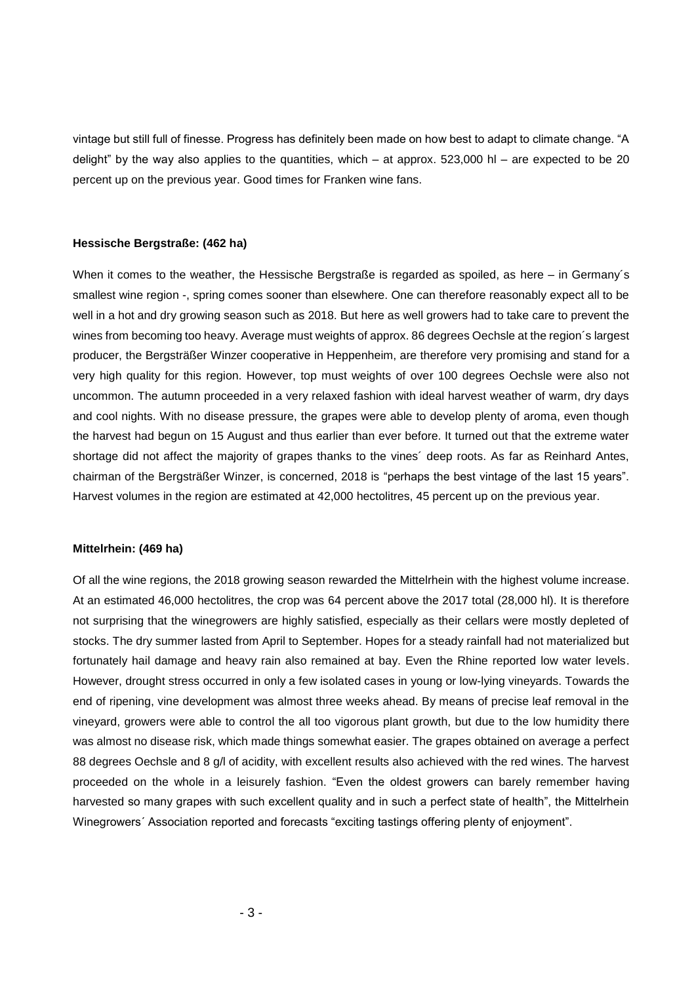vintage but still full of finesse. Progress has definitely been made on how best to adapt to climate change. "A delight" by the way also applies to the quantities, which – at approx.  $523,000$  hl – are expected to be 20 percent up on the previous year. Good times for Franken wine fans.

# **Hessische Bergstraße: (462 ha)**

When it comes to the weather, the Hessische Bergstraße is regarded as spoiled, as here – in Germany's smallest wine region -, spring comes sooner than elsewhere. One can therefore reasonably expect all to be well in a hot and dry growing season such as 2018. But here as well growers had to take care to prevent the wines from becoming too heavy. Average must weights of approx. 86 degrees Oechsle at the region´s largest producer, the Bergsträßer Winzer cooperative in Heppenheim, are therefore very promising and stand for a very high quality for this region. However, top must weights of over 100 degrees Oechsle were also not uncommon. The autumn proceeded in a very relaxed fashion with ideal harvest weather of warm, dry days and cool nights. With no disease pressure, the grapes were able to develop plenty of aroma, even though the harvest had begun on 15 August and thus earlier than ever before. It turned out that the extreme water shortage did not affect the majority of grapes thanks to the vines´ deep roots. As far as Reinhard Antes, chairman of the Bergsträßer Winzer, is concerned, 2018 is "perhaps the best vintage of the last 15 years". Harvest volumes in the region are estimated at 42,000 hectolitres, 45 percent up on the previous year.

#### **Mittelrhein: (469 ha)**

Of all the wine regions, the 2018 growing season rewarded the Mittelrhein with the highest volume increase. At an estimated 46,000 hectolitres, the crop was 64 percent above the 2017 total (28,000 hl). It is therefore not surprising that the winegrowers are highly satisfied, especially as their cellars were mostly depleted of stocks. The dry summer lasted from April to September. Hopes for a steady rainfall had not materialized but fortunately hail damage and heavy rain also remained at bay. Even the Rhine reported low water levels. However, drought stress occurred in only a few isolated cases in young or low-lying vineyards. Towards the end of ripening, vine development was almost three weeks ahead. By means of precise leaf removal in the vineyard, growers were able to control the all too vigorous plant growth, but due to the low humidity there was almost no disease risk, which made things somewhat easier. The grapes obtained on average a perfect 88 degrees Oechsle and 8 g/l of acidity, with excellent results also achieved with the red wines. The harvest proceeded on the whole in a leisurely fashion. "Even the oldest growers can barely remember having harvested so many grapes with such excellent quality and in such a perfect state of health", the Mittelrhein Winegrowers´ Association reported and forecasts "exciting tastings offering plenty of enjoyment".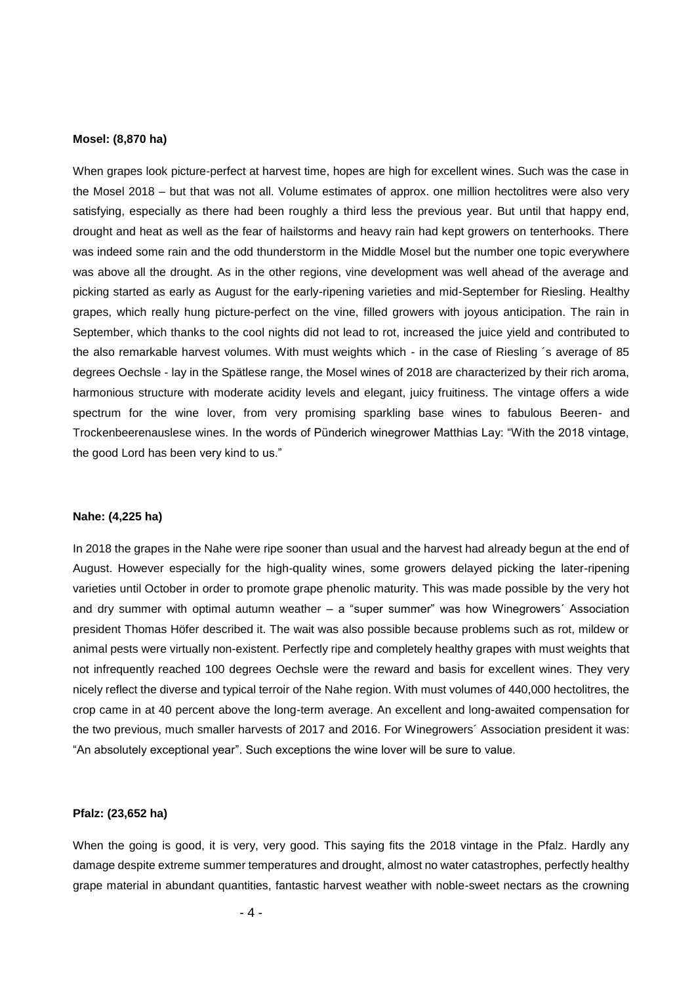#### **Mosel: (8,870 ha)**

When grapes look picture-perfect at harvest time, hopes are high for excellent wines. Such was the case in the Mosel 2018 – but that was not all. Volume estimates of approx. one million hectolitres were also very satisfying, especially as there had been roughly a third less the previous year. But until that happy end, drought and heat as well as the fear of hailstorms and heavy rain had kept growers on tenterhooks. There was indeed some rain and the odd thunderstorm in the Middle Mosel but the number one topic everywhere was above all the drought. As in the other regions, vine development was well ahead of the average and picking started as early as August for the early-ripening varieties and mid-September for Riesling. Healthy grapes, which really hung picture-perfect on the vine, filled growers with joyous anticipation. The rain in September, which thanks to the cool nights did not lead to rot, increased the juice yield and contributed to the also remarkable harvest volumes. With must weights which - in the case of Riesling ´s average of 85 degrees Oechsle - lay in the Spätlese range, the Mosel wines of 2018 are characterized by their rich aroma, harmonious structure with moderate acidity levels and elegant, juicy fruitiness. The vintage offers a wide spectrum for the wine lover, from very promising sparkling base wines to fabulous Beeren- and Trockenbeerenauslese wines. In the words of Pünderich winegrower Matthias Lay: "With the 2018 vintage, the good Lord has been very kind to us."

## **Nahe: (4,225 ha)**

In 2018 the grapes in the Nahe were ripe sooner than usual and the harvest had already begun at the end of August. However especially for the high-quality wines, some growers delayed picking the later-ripening varieties until October in order to promote grape phenolic maturity. This was made possible by the very hot and dry summer with optimal autumn weather – a "super summer" was how Winegrowers´ Association president Thomas Höfer described it. The wait was also possible because problems such as rot, mildew or animal pests were virtually non-existent. Perfectly ripe and completely healthy grapes with must weights that not infrequently reached 100 degrees Oechsle were the reward and basis for excellent wines. They very nicely reflect the diverse and typical terroir of the Nahe region. With must volumes of 440,000 hectolitres, the crop came in at 40 percent above the long-term average. An excellent and long-awaited compensation for the two previous, much smaller harvests of 2017 and 2016. For Winegrowers´ Association president it was: "An absolutely exceptional year". Such exceptions the wine lover will be sure to value.

# **Pfalz: (23,652 ha)**

When the going is good, it is very, very good. This saying fits the 2018 vintage in the Pfalz. Hardly any damage despite extreme summer temperatures and drought, almost no water catastrophes, perfectly healthy grape material in abundant quantities, fantastic harvest weather with noble-sweet nectars as the crowning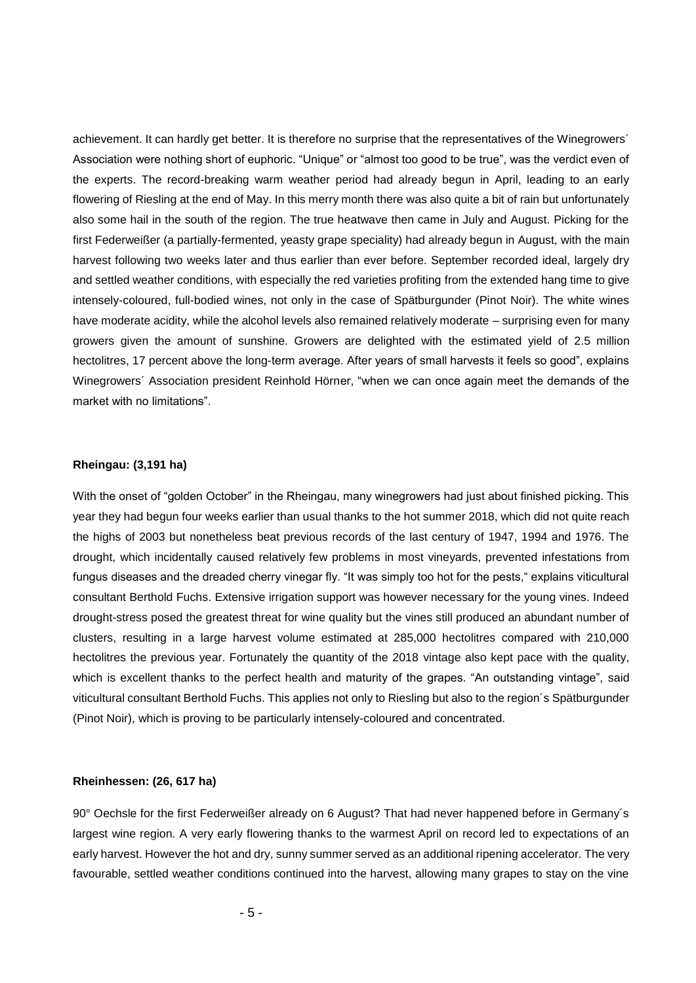achievement. It can hardly get better. It is therefore no surprise that the representatives of the Winegrowers´ Association were nothing short of euphoric. "Unique" or "almost too good to be true", was the verdict even of the experts. The record-breaking warm weather period had already begun in April, leading to an early flowering of Riesling at the end of May. In this merry month there was also quite a bit of rain but unfortunately also some hail in the south of the region. The true heatwave then came in July and August. Picking for the first Federweißer (a partially-fermented, yeasty grape speciality) had already begun in August, with the main harvest following two weeks later and thus earlier than ever before. September recorded ideal, largely dry and settled weather conditions, with especially the red varieties profiting from the extended hang time to give intensely-coloured, full-bodied wines, not only in the case of Spätburgunder (Pinot Noir). The white wines have moderate acidity, while the alcohol levels also remained relatively moderate – surprising even for many growers given the amount of sunshine. Growers are delighted with the estimated yield of 2.5 million hectolitres, 17 percent above the long-term average. After years of small harvests it feels so good", explains Winegrowers´ Association president Reinhold Hörner, "when we can once again meet the demands of the market with no limitations".

# **Rheingau: (3,191 ha)**

With the onset of "golden October" in the Rheingau, many winegrowers had just about finished picking. This year they had begun four weeks earlier than usual thanks to the hot summer 2018, which did not quite reach the highs of 2003 but nonetheless beat previous records of the last century of 1947, 1994 and 1976. The drought, which incidentally caused relatively few problems in most vineyards, prevented infestations from fungus diseases and the dreaded cherry vinegar fly. "It was simply too hot for the pests," explains viticultural consultant Berthold Fuchs. Extensive irrigation support was however necessary for the young vines. Indeed drought-stress posed the greatest threat for wine quality but the vines still produced an abundant number of clusters, resulting in a large harvest volume estimated at 285,000 hectolitres compared with 210,000 hectolitres the previous year. Fortunately the quantity of the 2018 vintage also kept pace with the quality, which is excellent thanks to the perfect health and maturity of the grapes. "An outstanding vintage", said viticultural consultant Berthold Fuchs. This applies not only to Riesling but also to the region´s Spätburgunder (Pinot Noir), which is proving to be particularly intensely-coloured and concentrated.

#### **Rheinhessen: (26, 617 ha)**

90° Oechsle for the first Federweißer already on 6 August? That had never happened before in Germany´s largest wine region. A very early flowering thanks to the warmest April on record led to expectations of an early harvest. However the hot and dry, sunny summer served as an additional ripening accelerator. The very favourable, settled weather conditions continued into the harvest, allowing many grapes to stay on the vine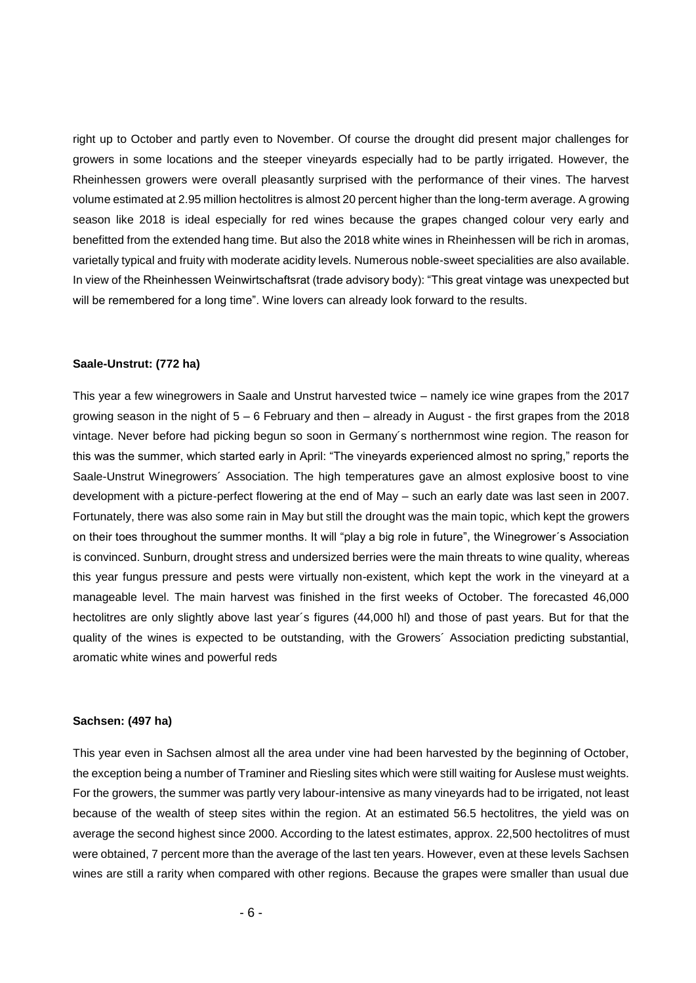right up to October and partly even to November. Of course the drought did present major challenges for growers in some locations and the steeper vineyards especially had to be partly irrigated. However, the Rheinhessen growers were overall pleasantly surprised with the performance of their vines. The harvest volume estimated at 2.95 million hectolitres is almost 20 percent higher than the long-term average. A growing season like 2018 is ideal especially for red wines because the grapes changed colour very early and benefitted from the extended hang time. But also the 2018 white wines in Rheinhessen will be rich in aromas, varietally typical and fruity with moderate acidity levels. Numerous noble-sweet specialities are also available. In view of the Rheinhessen Weinwirtschaftsrat (trade advisory body): "This great vintage was unexpected but will be remembered for a long time". Wine lovers can already look forward to the results.

#### **Saale-Unstrut: (772 ha)**

This year a few winegrowers in Saale and Unstrut harvested twice – namely ice wine grapes from the 2017 growing season in the night of  $5 - 6$  February and then  $-$  already in August - the first grapes from the 2018 vintage. Never before had picking begun so soon in Germany´s northernmost wine region. The reason for this was the summer, which started early in April: "The vineyards experienced almost no spring," reports the Saale-Unstrut Winegrowers´ Association. The high temperatures gave an almost explosive boost to vine development with a picture-perfect flowering at the end of May – such an early date was last seen in 2007. Fortunately, there was also some rain in May but still the drought was the main topic, which kept the growers on their toes throughout the summer months. It will "play a big role in future", the Winegrower´s Association is convinced. Sunburn, drought stress and undersized berries were the main threats to wine quality, whereas this year fungus pressure and pests were virtually non-existent, which kept the work in the vineyard at a manageable level. The main harvest was finished in the first weeks of October. The forecasted 46,000 hectolitres are only slightly above last year´s figures (44,000 hl) and those of past years. But for that the quality of the wines is expected to be outstanding, with the Growers´ Association predicting substantial, aromatic white wines and powerful reds

# **Sachsen: (497 ha)**

This year even in Sachsen almost all the area under vine had been harvested by the beginning of October, the exception being a number of Traminer and Riesling sites which were still waiting for Auslese must weights. For the growers, the summer was partly very labour-intensive as many vineyards had to be irrigated, not least because of the wealth of steep sites within the region. At an estimated 56.5 hectolitres, the yield was on average the second highest since 2000. According to the latest estimates, approx. 22,500 hectolitres of must were obtained, 7 percent more than the average of the last ten years. However, even at these levels Sachsen wines are still a rarity when compared with other regions. Because the grapes were smaller than usual due